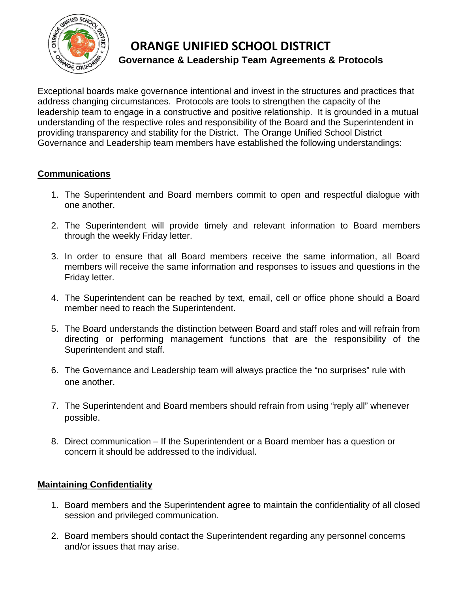

# **ORANGE UNIFIED SCHOOL DISTRICT Governance & Leadership Team Agreements & Protocols**

Exceptional boards make governance intentional and invest in the structures and practices that address changing circumstances. Protocols are tools to strengthen the capacity of the leadership team to engage in a constructive and positive relationship. It is grounded in a mutual understanding of the respective roles and responsibility of the Board and the Superintendent in providing transparency and stability for the District. The Orange Unified School District Governance and Leadership team members have established the following understandings:

## **Communications**

- 1. The Superintendent and Board members commit to open and respectful dialogue with one another.
- 2. The Superintendent will provide timely and relevant information to Board members through the weekly Friday letter.
- 3. In order to ensure that all Board members receive the same information, all Board members will receive the same information and responses to issues and questions in the Friday letter.
- 4. The Superintendent can be reached by text, email, cell or office phone should a Board member need to reach the Superintendent.
- 5. The Board understands the distinction between Board and staff roles and will refrain from directing or performing management functions that are the responsibility of the Superintendent and staff.
- 6. The Governance and Leadership team will always practice the "no surprises" rule with one another.
- 7. The Superintendent and Board members should refrain from using "reply all" whenever possible.
- 8. Direct communication If the Superintendent or a Board member has a question or concern it should be addressed to the individual.

### **Maintaining Confidentiality**

- 1. Board members and the Superintendent agree to maintain the confidentiality of all closed session and privileged communication.
- 2. Board members should contact the Superintendent regarding any personnel concerns and/or issues that may arise.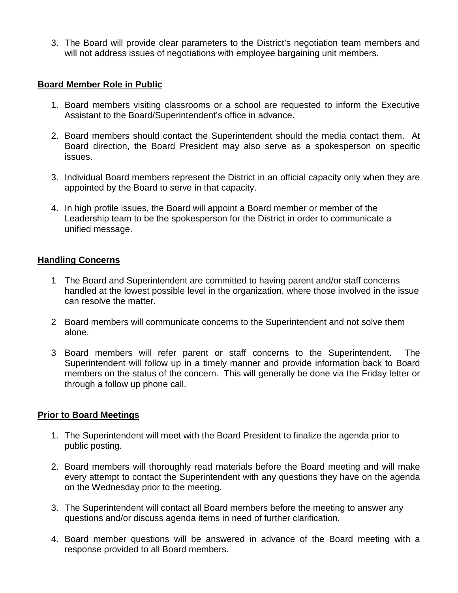3. The Board will provide clear parameters to the District's negotiation team members and will not address issues of negotiations with employee bargaining unit members.

#### **Board Member Role in Public**

- 1. Board members visiting classrooms or a school are requested to inform the Executive Assistant to the Board/Superintendent's office in advance.
- 2. Board members should contact the Superintendent should the media contact them. At Board direction, the Board President may also serve as a spokesperson on specific issues.
- 3. Individual Board members represent the District in an official capacity only when they are appointed by the Board to serve in that capacity.
- 4. In high profile issues, the Board will appoint a Board member or member of the Leadership team to be the spokesperson for the District in order to communicate a unified message.

#### **Handling Concerns**

- 1 The Board and Superintendent are committed to having parent and/or staff concerns handled at the lowest possible level in the organization, where those involved in the issue can resolve the matter.
- 2 Board members will communicate concerns to the Superintendent and not solve them alone.
- 3 Board members will refer parent or staff concerns to the Superintendent. The Superintendent will follow up in a timely manner and provide information back to Board members on the status of the concern. This will generally be done via the Friday letter or through a follow up phone call.

#### **Prior to Board Meetings**

- 1. The Superintendent will meet with the Board President to finalize the agenda prior to public posting.
- 2. Board members will thoroughly read materials before the Board meeting and will make every attempt to contact the Superintendent with any questions they have on the agenda on the Wednesday prior to the meeting.
- 3. The Superintendent will contact all Board members before the meeting to answer any questions and/or discuss agenda items in need of further clarification.
- 4. Board member questions will be answered in advance of the Board meeting with a response provided to all Board members.